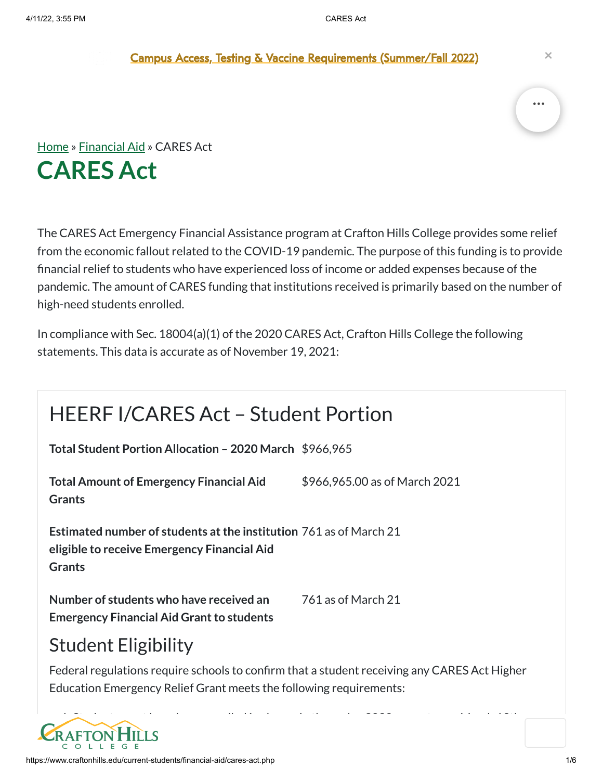Campus Access, Testing & Vaccine [Requirements](https://sbccd.edu/covid) (Summer/Fall 2022) **×**



The CARES Act Emergency Financial Assistance program at Crafton Hills College provides some relief from the economic fallout related to the COVID-19 pandemic. The purpose of this funding is to provide financial relief to students who have experienced loss of income or added expenses because of the pandemic. The amount of CARES funding that institutions received is primarily based on the number of high-need students enrolled.

In compliance with Sec. 18004(a)(1) of the 2020 CARES Act, Crafton Hills College the following statements. This data is accurate as of November 19, 2021:

# HEERF I/CARES Act – Student Portion

**Total Student Portion Allocation – 2020 March** \$966,965

**Total Amount of Emergency Financial Aid Grants** \$966,965.00 as of March 2021

**Estimated number of students atthe institution** 761 as of March 21 **eligible to receive Emergency Financial Aid Grants**

**Number of students who have received an Emergency Financial Aid Grant to students**  761 as of March 21

#### Student Eligibility

Federal regulations require schools to confirm that a student receiving any CARES Act Higher Education Emergency Relief Grant meets the following requirements:

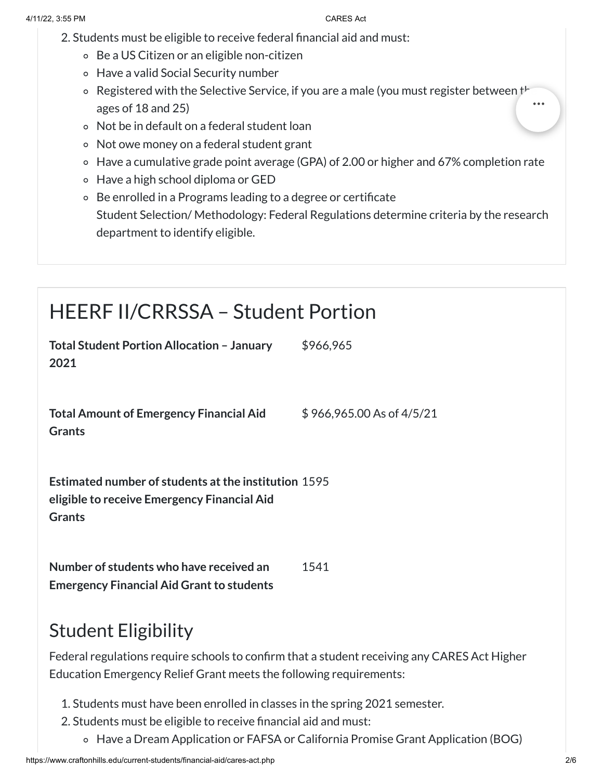- 2. Students must be eligible to receive federal financial aid and must:
	- Be a US Citizen or an eligible non-citizen
	- Have a valid Social Security number
	- $\circ$  Registered with the Selective Service, if you are a male (you must register between the ages of 18 and 25)
	- Not be in default on a federal student loan
	- Not owe money on a federal student grant
	- Have a cumulative grade point average (GPA) of 2.00 or higher and 67% completion rate
	- Have a high school diploma or GED
	- Be enrolled in a Programs leading to a degree or certificate Student Selection/ Methodology: Federal Regulations determine criteria by the research department to identify eligible.

# HEERF II/CRRSSA – Student Portion

| <b>Total Student Portion Allocation - January</b><br>2021                                                                   | \$966,965                 |
|-----------------------------------------------------------------------------------------------------------------------------|---------------------------|
| <b>Total Amount of Emergency Financial Aid</b><br><b>Grants</b>                                                             | \$966,965.00 As of 4/5/21 |
| <b>Estimated number of students at the institution 1595</b><br>eligible to receive Emergency Financial Aid<br><b>Grants</b> |                           |
| Number of students who have received an<br><b>Emergency Financial Aid Grant to students</b>                                 | 1541                      |
|                                                                                                                             |                           |

## Student Eligibility

Federal regulations require schools to confirm that a student receiving any CARES Act Higher Education Emergency Relief Grant meets the following requirements:

- 1. Students must have been enrolled in classes in the spring 2021 semester.
- 2. Students must be eligible to receive financial aid and must:
	- Have a Dream Application or FAFSA or California Promise Grant Application (BOG)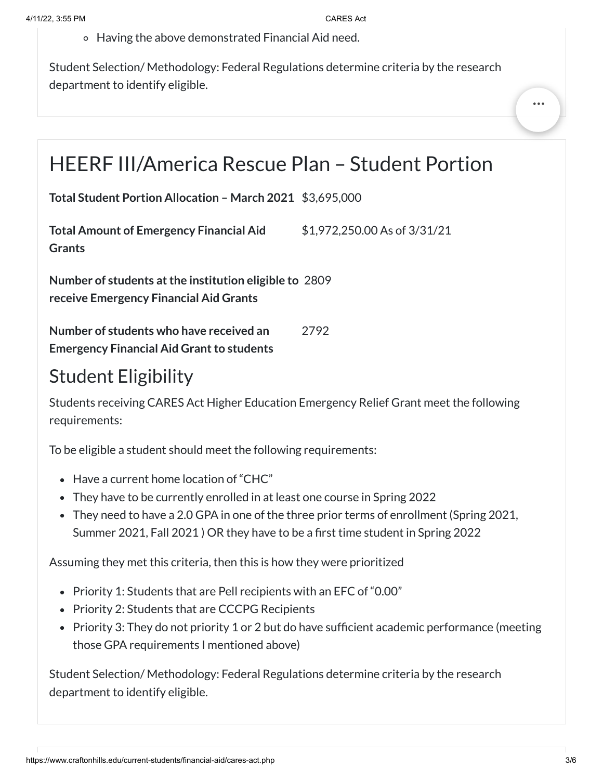Having the above demonstrated Financial Aid need.

Student Selection/ Methodology: Federal Regulations determine criteria by the research department to identify eligible.

# HEERF III/America Rescue Plan – Student Portion

**Total Student Portion Allocation – March 2021** \$3,695,000

**Total Amount of Emergency Financial Aid Grants** \$1,972,250.00 As of 3/31/21

**Number of students atthe institution eligible to** 2809 **receive Emergency Financial Aid Grants**

**Number of students who have received an Emergency Financial Aid Grant to students** 2792

## Student Eligibility

Students receiving CARES Act Higher Education Emergency Relief Grant meet the following requirements:

To be eligible a student should meet the following requirements:

- Have a current home location of "CHC"
- They have to be currently enrolled in at least one course in Spring 2022
- They need to have a 2.0 GPA in one of the three prior terms of enrollment (Spring 2021, Summer 2021, Fall 2021 ) OR they have to be a first time student in Spring 2022

Assuming they met this criteria, then this is how they were prioritized

- Priority 1: Students that are Pell recipients with an EFC of "0.00"
- Priority 2: Students that are CCCPG Recipients
- Priority 3: They do not priority 1 or 2 but do have sufficient academic performance (meeting those GPA requirements I mentioned above)

Student Selection/ Methodology: Federal Regulations determine criteria by the research department to identify eligible.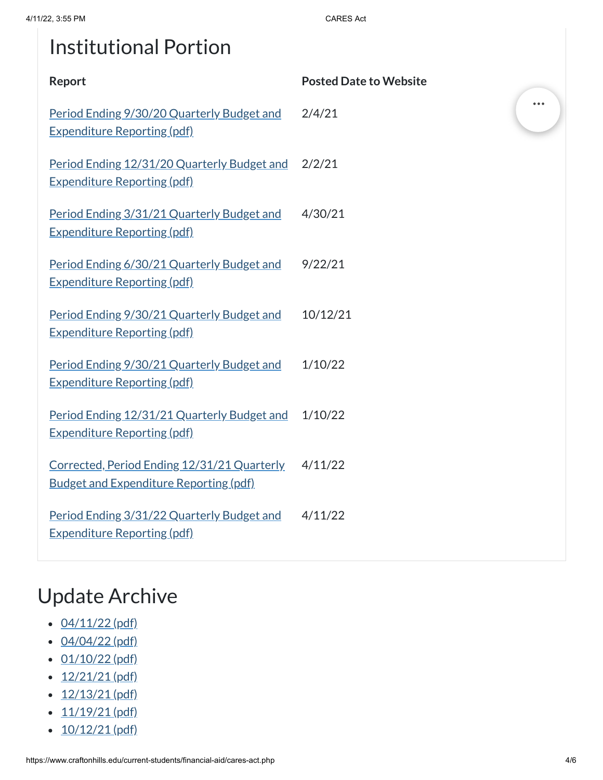# Institutional Portion

| Report                                                                                       | <b>Posted Date to Website</b> |  |
|----------------------------------------------------------------------------------------------|-------------------------------|--|
| Period Ending 9/30/20 Quarterly Budget and<br><b>Expenditure Reporting (pdf)</b>             | 2/4/21                        |  |
| Period Ending 12/31/20 Quarterly Budget and<br><b>Expenditure Reporting (pdf)</b>            | 2/2/21                        |  |
| Period Ending 3/31/21 Quarterly Budget and<br><b>Expenditure Reporting (pdf)</b>             | 4/30/21                       |  |
| Period Ending 6/30/21 Quarterly Budget and<br><b>Expenditure Reporting (pdf)</b>             | 9/22/21                       |  |
| Period Ending 9/30/21 Quarterly Budget and<br><b>Expenditure Reporting (pdf)</b>             | 10/12/21                      |  |
| Period Ending 9/30/21 Quarterly Budget and<br><b>Expenditure Reporting (pdf)</b>             | 1/10/22                       |  |
| Period Ending 12/31/21 Quarterly Budget and<br><b>Expenditure Reporting (pdf)</b>            | 1/10/22                       |  |
| Corrected, Period Ending 12/31/21 Quarterly<br><b>Budget and Expenditure Reporting (pdf)</b> | 4/11/22                       |  |
| Period Ending 3/31/22 Quarterly Budget and<br><b>Expenditure Reporting (pdf)</b>             | 4/11/22                       |  |
|                                                                                              |                               |  |

# Update Archive

- $\cdot$  [04/11/22](https://www.craftonhills.edu/current-students/financial-aid/documents/cares-act-page-4-11-22.pdf) (pdf)
- $-04/04/22$  $-04/04/22$  (pdf)
- $\cdot$  [01/10/22](https://www.craftonhills.edu/current-students/financial-aid/documents/cares-act-page-01-10-22.pdf) (pdf)
- $\cdot$  [12/21/21](https://www.craftonhills.edu/current-students/financial-aid/documents/cares-act-page-12-21-21.pdf) (pdf)
- $\cdot$  [12/13/21](https://www.craftonhills.edu/current-students/financial-aid/documents/cares-act-page-12-13-21.pdf) (pdf)
- $\cdot$   $11/19/21$  (pdf)
- $\cdot$  [10/12/21](https://www.craftonhills.edu/current-students/financial-aid/documents/cares-act-page-10-12-21.pdf) (pdf)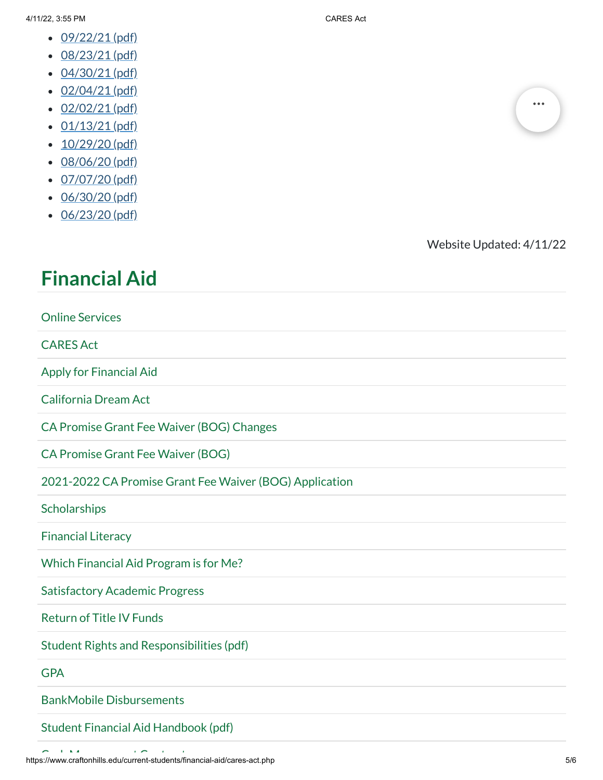- $\cdot$  [09/22/21](https://www.craftonhills.edu/current-students/financial-aid/documents/cares-act-page-9-22-21.pdf) (pdf)
- [08/23/21](https://www.craftonhills.edu/current-students/financial-aid/documents/cares-act-page-8-23-21.pdf) (pdf)
- [04/30/21](https://www.craftonhills.edu/current-students/financial-aid/documents/casres-act-page-4-30-21.pdf) (pdf)
- 
- $\cdot$  [02/04/21](https://www.craftonhills.edu/current-students/financial-aid/documents/cares-act-page-2-4-21.pdf) (pdf)
- $\cdot$  [02/02/21](https://www.craftonhills.edu/current-students/financial-aid/documents/cares-act-page-2-2-21.pdf) (pdf)
- $\cdot$  [01/13/21](https://www.craftonhills.edu/current-students/financial-aid/documents/cares-act-page-1-13-21.pdf) (pdf)
- $\cdot$  [10/29/20](https://www.craftonhills.edu/current-students/financial-aid/documents/cares-act-page-10-29-20.pdf) (pdf)
- $\cdot$  [08/06/20](https://www.craftonhills.edu/current-students/financial-aid/documents/casre-act-page-8-6-20.pdf) (pdf)
- $\cdot$  [07/07/20](https://www.craftonhills.edu/current-students/financial-aid/documents/cares-act-page-7-7-20.pdf) (pdf)
- [06/30/20](https://www.craftonhills.edu/current-students/financial-aid/documents/cares-act-page-6-30-20.pdf) (pdf)
- [06/23/20](https://www.craftonhills.edu/current-students/financial-aid/documents/cares-act-page-6-23-20.pdf) (pdf)



Website Updated: 4/11/22

### **[Financial](https://www.craftonhills.edu/current-students/financial-aid/index.php) Aid**

| <b>Online Services</b>                                  |
|---------------------------------------------------------|
| <b>CARES Act</b>                                        |
| <b>Apply for Financial Aid</b>                          |
| <b>California Dream Act</b>                             |
| CA Promise Grant Fee Waiver (BOG) Changes               |
| <b>CA Promise Grant Fee Waiver (BOG)</b>                |
| 2021-2022 CA Promise Grant Fee Waiver (BOG) Application |
| Scholarships                                            |
| <b>Financial Literacy</b>                               |
| Which Financial Aid Program is for Me?                  |
| <b>Satisfactory Academic Progress</b>                   |
| <b>Return of Title IV Funds</b>                         |
| <b>Student Rights and Responsibilities (pdf)</b>        |
| <b>GPA</b>                                              |
| <b>BankMobile Disbursements</b>                         |
| Student Financial Aid Handbook (pdf)                    |